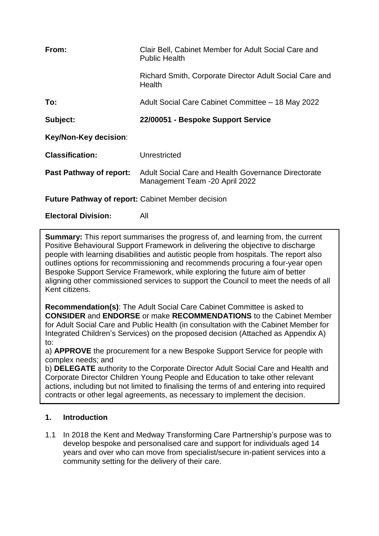| From:                                                    | Clair Bell, Cabinet Member for Adult Social Care and<br><b>Public Health</b>          |  |
|----------------------------------------------------------|---------------------------------------------------------------------------------------|--|
|                                                          | Richard Smith, Corporate Director Adult Social Care and<br>Health                     |  |
| To:                                                      | Adult Social Care Cabinet Committee - 18 May 2022                                     |  |
| Subject:                                                 | 22/00051 - Bespoke Support Service                                                    |  |
| Key/Non-Key decision:                                    |                                                                                       |  |
| <b>Classification:</b>                                   | Unrestricted                                                                          |  |
| <b>Past Pathway of report:</b>                           | Adult Social Care and Health Governance Directorate<br>Management Team -20 April 2022 |  |
| <b>Future Pathway of report: Cabinet Member decision</b> |                                                                                       |  |
| <b>Electoral Division:</b>                               | All                                                                                   |  |

**Summary:** This report summarises the progress of, and learning from, the current Positive Behavioural Support Framework in delivering the objective to discharge people with learning disabilities and autistic people from hospitals. The report also outlines options for recommissioning and recommends procuring a four-year open Bespoke Support Service Framework, while exploring the future aim of better aligning other commissioned services to support the Council to meet the needs of all Kent citizens.

**Recommendation(s)**: The Adult Social Care Cabinet Committee is asked to **CONSIDER** and **ENDORSE** or make **RECOMMENDATIONS** to the Cabinet Member for Adult Social Care and Public Health (in consultation with the Cabinet Member for Integrated Children's Services) on the proposed decision (Attached as Appendix A) to:

a) **APPROVE** the procurement for a new Bespoke Support Service for people with complex needs; and

b) **DELEGATE** authority to the Corporate Director Adult Social Care and Health and Corporate Director Children Young People and Education to take other relevant actions, including but not limited to finalising the terms of and entering into required contracts or other legal agreements, as necessary to implement the decision.

# **1. Introduction**

1.1 In 2018 the Kent and Medway Transforming Care Partnership's purpose was to develop bespoke and personalised care and support for individuals aged 14 years and over who can move from specialist/secure in-patient services into a community setting for the delivery of their care.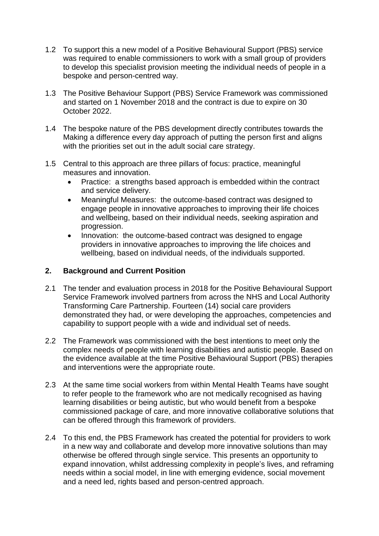- 1.2 To support this a new model of a Positive Behavioural Support (PBS) service was required to enable commissioners to work with a small group of providers to develop this specialist provision meeting the individual needs of people in a bespoke and person-centred way.
- 1.3 The Positive Behaviour Support (PBS) Service Framework was commissioned and started on 1 November 2018 and the contract is due to expire on 30 October 2022.
- 1.4 The bespoke nature of the PBS development directly contributes towards the Making a difference every day approach of putting the person first and aligns with the priorities set out in the adult social care strategy.
- 1.5 Central to this approach are three pillars of focus: practice, meaningful measures and innovation.
	- Practice: a strengths based approach is embedded within the contract and service delivery.
	- Meaningful Measures: the outcome-based contract was designed to engage people in innovative approaches to improving their life choices and wellbeing, based on their individual needs, seeking aspiration and progression.
	- Innovation: the outcome-based contract was designed to engage providers in innovative approaches to improving the life choices and wellbeing, based on individual needs, of the individuals supported.

### **2. Background and Current Position**

- 2.1 The tender and evaluation process in 2018 for the Positive Behavioural Support Service Framework involved partners from across the NHS and Local Authority Transforming Care Partnership. Fourteen (14) social care providers demonstrated they had, or were developing the approaches, competencies and capability to support people with a wide and individual set of needs.
- 2.2 The Framework was commissioned with the best intentions to meet only the complex needs of people with learning disabilities and autistic people. Based on the evidence available at the time Positive Behavioural Support (PBS) therapies and interventions were the appropriate route.
- 2.3 At the same time social workers from within Mental Health Teams have sought to refer people to the framework who are not medically recognised as having learning disabilities or being autistic, but who would benefit from a bespoke commissioned package of care, and more innovative collaborative solutions that can be offered through this framework of providers.
- 2.4 To this end, the PBS Framework has created the potential for providers to work in a new way and collaborate and develop more innovative solutions than may otherwise be offered through single service. This presents an opportunity to expand innovation, whilst addressing complexity in people's lives, and reframing needs within a social model, in line with emerging evidence, social movement and a need led, rights based and person-centred approach.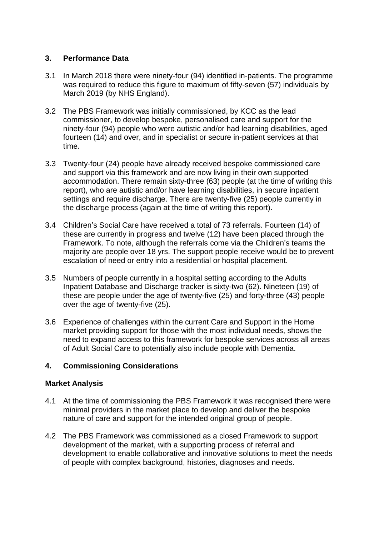## **3. Performance Data**

- 3.1 In March 2018 there were ninety-four (94) identified in-patients. The programme was required to reduce this figure to maximum of fifty-seven (57) individuals by March 2019 (by NHS England).
- 3.2 The PBS Framework was initially commissioned, by KCC as the lead commissioner, to develop bespoke, personalised care and support for the ninety-four (94) people who were autistic and/or had learning disabilities, aged fourteen (14) and over, and in specialist or secure in-patient services at that time.
- 3.3 Twenty-four (24) people have already received bespoke commissioned care and support via this framework and are now living in their own supported accommodation. There remain sixty-three (63) people (at the time of writing this report), who are autistic and/or have learning disabilities, in secure inpatient settings and require discharge. There are twenty-five (25) people currently in the discharge process (again at the time of writing this report).
- 3.4 Children's Social Care have received a total of 73 referrals. Fourteen (14) of these are currently in progress and twelve (12) have been placed through the Framework. To note, although the referrals come via the Children's teams the majority are people over 18 yrs. The support people receive would be to prevent escalation of need or entry into a residential or hospital placement.
- 3.5 Numbers of people currently in a hospital setting according to the Adults Inpatient Database and Discharge tracker is sixty-two (62). Nineteen (19) of these are people under the age of twenty-five (25) and forty-three (43) people over the age of twenty-five (25).
- 3.6 Experience of challenges within the current Care and Support in the Home market providing support for those with the most individual needs, shows the need to expand access to this framework for bespoke services across all areas of Adult Social Care to potentially also include people with Dementia.

# **4. Commissioning Considerations**

#### **Market Analysis**

- 4.1 At the time of commissioning the PBS Framework it was recognised there were minimal providers in the market place to develop and deliver the bespoke nature of care and support for the intended original group of people.
- 4.2 The PBS Framework was commissioned as a closed Framework to support development of the market, with a supporting process of referral and development to enable collaborative and innovative solutions to meet the needs of people with complex background, histories, diagnoses and needs.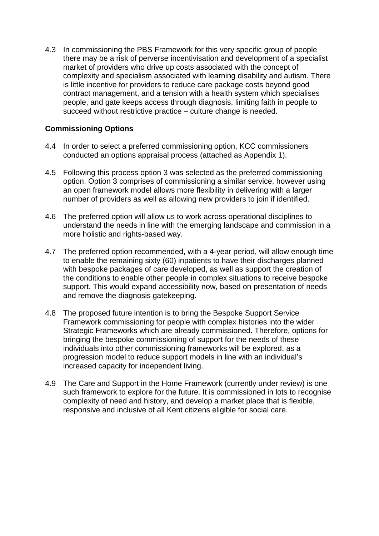4.3 In commissioning the PBS Framework for this very specific group of people there may be a risk of perverse incentivisation and development of a specialist market of providers who drive up costs associated with the concept of complexity and specialism associated with learning disability and autism. There is little incentive for providers to reduce care package costs beyond good contract management, and a tension with a health system which specialises people, and gate keeps access through diagnosis, limiting faith in people to succeed without restrictive practice – culture change is needed.

## **Commissioning Options**

- 4.4 In order to select a preferred commissioning option, KCC commissioners conducted an options appraisal process (attached as Appendix 1).
- 4.5 Following this process option 3 was selected as the preferred commissioning option. Option 3 comprises of commissioning a similar service, however using an open framework model allows more flexibility in delivering with a larger number of providers as well as allowing new providers to join if identified.
- 4.6 The preferred option will allow us to work across operational disciplines to understand the needs in line with the emerging landscape and commission in a more holistic and rights-based way.
- 4.7 The preferred option recommended, with a 4-year period, will allow enough time to enable the remaining sixty (60) inpatients to have their discharges planned with bespoke packages of care developed, as well as support the creation of the conditions to enable other people in complex situations to receive bespoke support. This would expand accessibility now, based on presentation of needs and remove the diagnosis gatekeeping.
- 4.8 The proposed future intention is to bring the Bespoke Support Service Framework commissioning for people with complex histories into the wider Strategic Frameworks which are already commissioned. Therefore, options for bringing the bespoke commissioning of support for the needs of these individuals into other commissioning frameworks will be explored, as a progression model to reduce support models in line with an individual's increased capacity for independent living.
- 4.9 The Care and Support in the Home Framework (currently under review) is one such framework to explore for the future. It is commissioned in lots to recognise complexity of need and history, and develop a market place that is flexible, responsive and inclusive of all Kent citizens eligible for social care.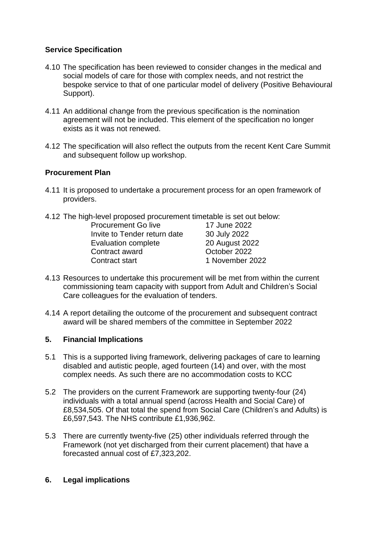# **Service Specification**

- 4.10 The specification has been reviewed to consider changes in the medical and social models of care for those with complex needs, and not restrict the bespoke service to that of one particular model of delivery (Positive Behavioural Support).
- 4.11 An additional change from the previous specification is the nomination agreement will not be included. This element of the specification no longer exists as it was not renewed.
- 4.12 The specification will also reflect the outputs from the recent Kent Care Summit and subsequent follow up workshop.

# **Procurement Plan**

- 4.11 It is proposed to undertake a procurement process for an open framework of providers.
- 4.12 The high-level proposed procurement timetable is set out below: Procurement Go live 17 June 2022 Invite to Tender return date 30 July 2022 Evaluation complete 20 August 2022 Contract award **Contract award** October 2022 Contract start 1 November 2022
- 4.13 Resources to undertake this procurement will be met from within the current commissioning team capacity with support from Adult and Children's Social Care colleagues for the evaluation of tenders.
- 4.14 A report detailing the outcome of the procurement and subsequent contract award will be shared members of the committee in September 2022

# **5. Financial Implications**

- 5.1 This is a supported living framework, delivering packages of care to learning disabled and autistic people, aged fourteen (14) and over, with the most complex needs. As such there are no accommodation costs to KCC
- 5.2 The providers on the current Framework are supporting twenty-four (24) individuals with a total annual spend (across Health and Social Care) of £8,534,505. Of that total the spend from Social Care (Children's and Adults) is £6,597,543. The NHS contribute £1,936,962.
- 5.3 There are currently twenty-five (25) other individuals referred through the Framework (not yet discharged from their current placement) that have a forecasted annual cost of £7,323,202.

# **6. Legal implications**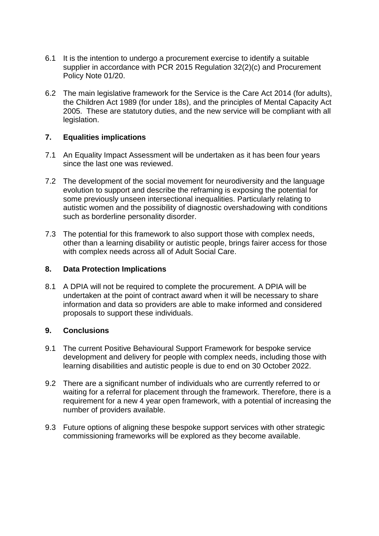- 6.1 It is the intention to undergo a procurement exercise to identify a suitable supplier in accordance with PCR 2015 Regulation 32(2)(c) and Procurement Policy Note 01/20.
- 6.2 The main legislative framework for the Service is the Care Act 2014 (for adults), the Children Act 1989 (for under 18s), and the principles of Mental Capacity Act 2005. These are statutory duties, and the new service will be compliant with all legislation.

#### **7. Equalities implications**

- 7.1 An Equality Impact Assessment will be undertaken as it has been four years since the last one was reviewed.
- 7.2 The development of the social movement for neurodiversity and the language evolution to support and describe the reframing is exposing the potential for some previously unseen intersectional inequalities. Particularly relating to autistic women and the possibility of diagnostic overshadowing with conditions such as borderline personality disorder.
- 7.3 The potential for this framework to also support those with complex needs, other than a learning disability or autistic people, brings fairer access for those with complex needs across all of Adult Social Care.

#### **8. Data Protection Implications**

8.1 A DPIA will not be required to complete the procurement. A DPIA will be undertaken at the point of contract award when it will be necessary to share information and data so providers are able to make informed and considered proposals to support these individuals.

#### **9. Conclusions**

- 9.1 The current Positive Behavioural Support Framework for bespoke service development and delivery for people with complex needs, including those with learning disabilities and autistic people is due to end on 30 October 2022.
- 9.2 There are a significant number of individuals who are currently referred to or waiting for a referral for placement through the framework. Therefore, there is a requirement for a new 4 year open framework, with a potential of increasing the number of providers available.
- 9.3 Future options of aligning these bespoke support services with other strategic commissioning frameworks will be explored as they become available.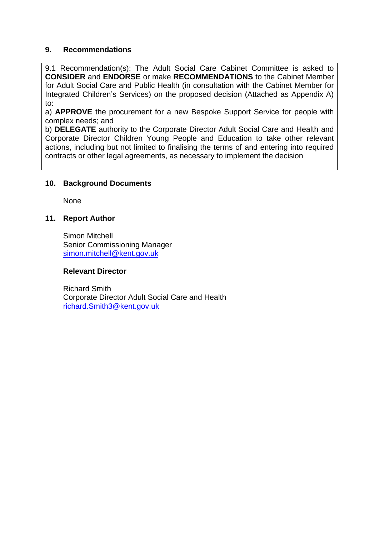## **9. Recommendations**

9.1 Recommendation(s): The Adult Social Care Cabinet Committee is asked to **CONSIDER** and **ENDORSE** or make **RECOMMENDATIONS** to the Cabinet Member for Adult Social Care and Public Health (in consultation with the Cabinet Member for Integrated Children's Services) on the proposed decision (Attached as Appendix A) to:

a) **APPROVE** the procurement for a new Bespoke Support Service for people with complex needs; and

b) **DELEGATE** authority to the Corporate Director Adult Social Care and Health and Corporate Director Children Young People and Education to take other relevant actions, including but not limited to finalising the terms of and entering into required contracts or other legal agreements, as necessary to implement the decision

#### **10. Background Documents**

None

## **11. Report Author**

Simon Mitchell Senior Commissioning Manager [simon.mitchell@kent.gov.uk](mailto:simon.mitchell@kent.gov.uk)

#### **Relevant Director**

Richard Smith Corporate Director Adult Social Care and Health [richard.Smith3@kent.gov.uk](mailto:richard.Smith3@kent.gov.uk)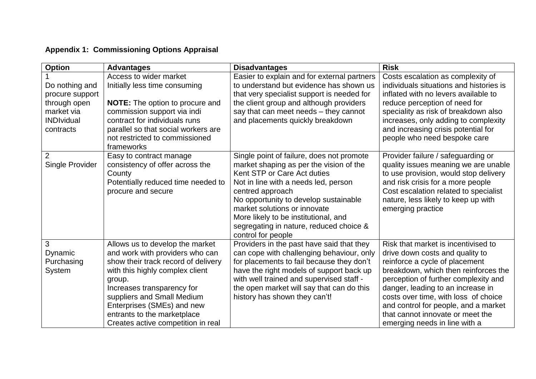# **Appendix 1: Commissioning Options Appraisal**

| <b>Option</b>                   | <b>Advantages</b>                                                      | <b>Disadvantages</b>                                                                   | <b>Risk</b>                                                                 |
|---------------------------------|------------------------------------------------------------------------|----------------------------------------------------------------------------------------|-----------------------------------------------------------------------------|
|                                 | Access to wider market                                                 | Easier to explain and for external partners                                            | Costs escalation as complexity of                                           |
| Do nothing and                  | Initially less time consuming                                          | to understand but evidence has shown us                                                | individuals situations and histories is                                     |
| procure support                 |                                                                        | that very specialist support is needed for                                             | inflated with no levers available to                                        |
| through open                    | <b>NOTE:</b> The option to procure and                                 | the client group and although providers                                                | reduce perception of need for                                               |
| market via<br><b>INDIvidual</b> | commission support via indi<br>contract for individuals runs           | say that can meet needs - they cannot                                                  | speciality as risk of breakdown also                                        |
| contracts                       | parallel so that social workers are                                    | and placements quickly breakdown                                                       | increases, only adding to complexity<br>and increasing crisis potential for |
|                                 | not restricted to commissioned                                         |                                                                                        | people who need bespoke care                                                |
|                                 | frameworks                                                             |                                                                                        |                                                                             |
| 2                               | Easy to contract manage                                                | Single point of failure, does not promote                                              | Provider failure / safeguarding or                                          |
| Single Provider                 | consistency of offer across the                                        | market shaping as per the vision of the                                                | quality issues meaning we are unable                                        |
|                                 | County                                                                 | Kent STP or Care Act duties                                                            | to use provision, would stop delivery                                       |
|                                 | Potentially reduced time needed to                                     | Not in line with a needs led, person                                                   | and risk crisis for a more people                                           |
|                                 | procure and secure                                                     | centred approach                                                                       | Cost escalation related to specialist                                       |
|                                 |                                                                        | No opportunity to develop sustainable                                                  | nature, less likely to keep up with                                         |
|                                 |                                                                        | market solutions or innovate                                                           | emerging practice                                                           |
|                                 |                                                                        | More likely to be institutional, and                                                   |                                                                             |
|                                 |                                                                        | segregating in nature, reduced choice &                                                |                                                                             |
|                                 |                                                                        | control for people                                                                     |                                                                             |
| 3                               | Allows us to develop the market                                        | Providers in the past have said that they                                              | Risk that market is incentivised to                                         |
| Dynamic                         | and work with providers who can<br>show their track record of delivery | can cope with challenging behaviour, only<br>for placements to fail because they don't | drive down costs and quality to                                             |
| Purchasing<br>System            | with this highly complex client                                        | have the right models of support back up                                               | reinforce a cycle of placement<br>breakdown, which then reinforces the      |
|                                 | group.                                                                 | with well trained and supervised staff -                                               | perception of further complexity and                                        |
|                                 | Increases transparency for                                             | the open market will say that can do this                                              | danger, leading to an increase in                                           |
|                                 | suppliers and Small Medium                                             | history has shown they can't!                                                          | costs over time, with loss of choice                                        |
|                                 | Enterprises (SMEs) and new                                             |                                                                                        | and control for people, and a market                                        |
|                                 | entrants to the marketplace                                            |                                                                                        | that cannot innovate or meet the                                            |
|                                 | Creates active competition in real                                     |                                                                                        | emerging needs in line with a                                               |